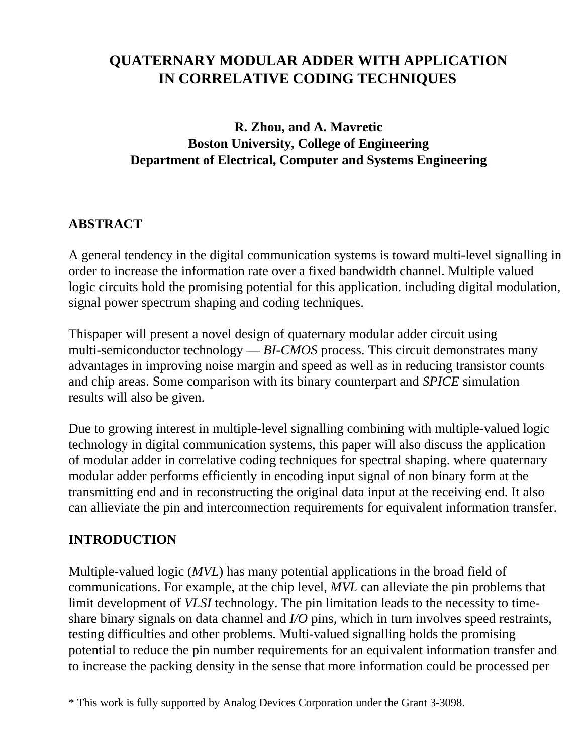# **QUATERNARY MODULAR ADDER WITH APPLICATION IN CORRELATIVE CODING TECHNIQUES**

# **R. Zhou, and A. Mavretic Boston University, College of Engineering Department of Electrical, Computer and Systems Engineering**

# **ABSTRACT**

A general tendency in the digital communication systems is toward multi-level signalling in order to increase the information rate over a fixed bandwidth channel. Multiple valued logic circuits hold the promising potential for this application. including digital modulation, signal power spectrum shaping and coding techniques.

Thispaper will present a novel design of quaternary modular adder circuit using multi-semiconductor technology — *BI-CMOS* process. This circuit demonstrates many advantages in improving noise margin and speed as well as in reducing transistor counts and chip areas. Some comparison with its binary counterpart and *SPICE* simulation results will also be given.

Due to growing interest in multiple-level signalling combining with multiple-valued logic technology in digital communication systems, this paper will also discuss the application of modular adder in correlative coding techniques for spectral shaping. where quaternary modular adder performs efficiently in encoding input signal of non binary form at the transmitting end and in reconstructing the original data input at the receiving end. It also can allieviate the pin and interconnection requirements for equivalent information transfer.

## **INTRODUCTION**

Multiple-valued logic (*MVL*) has many potential applications in the broad field of communications. For example, at the chip level, *MVL* can alleviate the pin problems that limit development of *VLSI* technology. The pin limitation leads to the necessity to timeshare binary signals on data channel and *I/O* pins, which in turn involves speed restraints, testing difficulties and other problems. Multi-valued signalling holds the promising potential to reduce the pin number requirements for an equivalent information transfer and to increase the packing density in the sense that more information could be processed per

<sup>\*</sup> This work is fully supported by Analog Devices Corporation under the Grant 3-3098.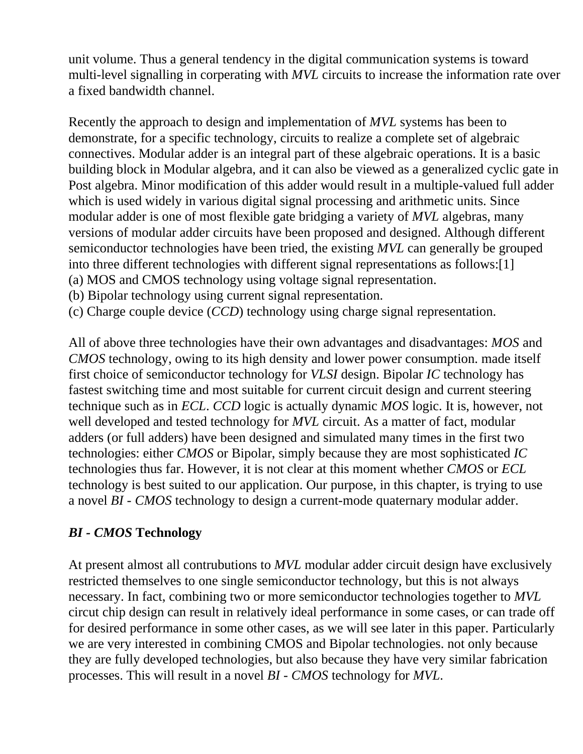unit volume. Thus a general tendency in the digital communication systems is toward multi-level signalling in corperating with *MVL* circuits to increase the information rate over a fixed bandwidth channel.

Recently the approach to design and implementation of *MVL* systems has been to demonstrate, for a specific technology, circuits to realize a complete set of algebraic connectives. Modular adder is an integral part of these algebraic operations. It is a basic building block in Modular algebra, and it can also be viewed as a generalized cyclic gate in Post algebra. Minor modification of this adder would result in a multiple-valued full adder which is used widely in various digital signal processing and arithmetic units. Since modular adder is one of most flexible gate bridging a variety of *MVL* algebras, many versions of modular adder circuits have been proposed and designed. Although different semiconductor technologies have been tried, the existing *MVL* can generally be grouped into three different technologies with different signal representations as follows:[1] (a) MOS and CMOS technology using voltage signal representation.

(b) Bipolar technology using current signal representation.

(c) Charge couple device (*CCD*) technology using charge signal representation.

All of above three technologies have their own advantages and disadvantages: *MOS* and *CMOS* technology, owing to its high density and lower power consumption. made itself first choice of semiconductor technology for *VLSI* design. Bipolar *IC* technology has fastest switching time and most suitable for current circuit design and current steering technique such as in *ECL*. *CCD* logic is actually dynamic *MOS* logic. It is, however, not well developed and tested technology for *MVL* circuit. As a matter of fact, modular adders (or full adders) have been designed and simulated many times in the first two technologies: either *CMOS* or Bipolar, simply because they are most sophisticated *IC* technologies thus far. However, it is not clear at this moment whether *CMOS* or *ECL* technology is best suited to our application. Our purpose, in this chapter, is trying to use a novel *BI - CMOS* technology to design a current-mode quaternary modular adder.

## *BI - CMOS* **Technology**

At present almost all contrubutions to *MVL* modular adder circuit design have exclusively restricted themselves to one single semiconductor technology, but this is not always necessary. In fact, combining two or more semiconductor technologies together to *MVL* circut chip design can result in relatively ideal performance in some cases, or can trade off for desired performance in some other cases, as we will see later in this paper. Particularly we are very interested in combining CMOS and Bipolar technologies. not only because they are fully developed technologies, but also because they have very similar fabrication processes. This will result in a novel *BI - CMOS* technology for *MVL*.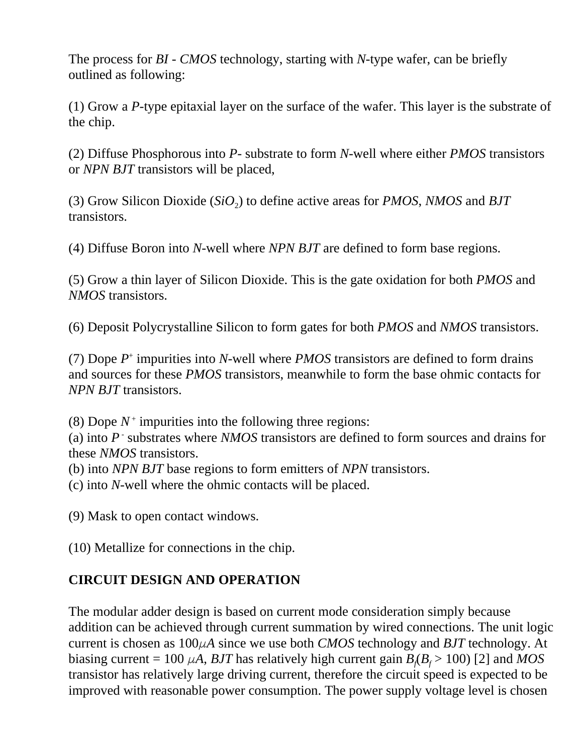The process for *BI - CMOS* technology, starting with *N*-type wafer, can be briefly outlined as following:

(1) Grow a *P*-type epitaxial layer on the surface of the wafer. This layer is the substrate of the chip.

(2) Diffuse Phosphorous into *P*- substrate to form *N*-well where either *PMOS* transistors or *NPN BJT* transistors will be placed,

(3) Grow Silicon Dioxide (*SiO*<sup>2</sup> ) to define active areas for *PMOS*, *NMOS* and *BJT* transistors.

(4) Diffuse Boron into *N*-well where *NPN BJT* are defined to form base regions.

(5) Grow a thin layer of Silicon Dioxide. This is the gate oxidation for both *PMOS* and *NMOS* transistors.

(6) Deposit Polycrystalline Silicon to form gates for both *PMOS* and *NMOS* transistors.

(7) Dope  $P^+$  impurities into *N*-well where *PMOS* transistors are defined to form drains and sources for these *PMOS* transistors, meanwhile to form the base ohmic contacts for *NPN BJT* transistors.

(8) Dope  $N^+$  impurities into the following three regions:

(a) into P<sup>-</sup> substrates where *NMOS* transistors are defined to form sources and drains for these *NMOS* transistors.

(b) into *NPN BJT* base regions to form emitters of *NPN* transistors.

(c) into *N*-well where the ohmic contacts will be placed.

(9) Mask to open contact windows.

(10) Metallize for connections in the chip.

# **CIRCUIT DESIGN AND OPERATION**

The modular adder design is based on current mode consideration simply because addition can be achieved through current summation by wired connections. The unit logic current is chosen as  $100\mu A$  since we use both *CMOS* technology and *BJT* technology. At biasing current = 100  $\mu$ A, *BJT* has relatively high current gain  $B_f$ ( $B_f$  > 100) [2] and *MOS* transistor has relatively large driving current, therefore the circuit speed is expected to be improved with reasonable power consumption. The power supply voltage level is chosen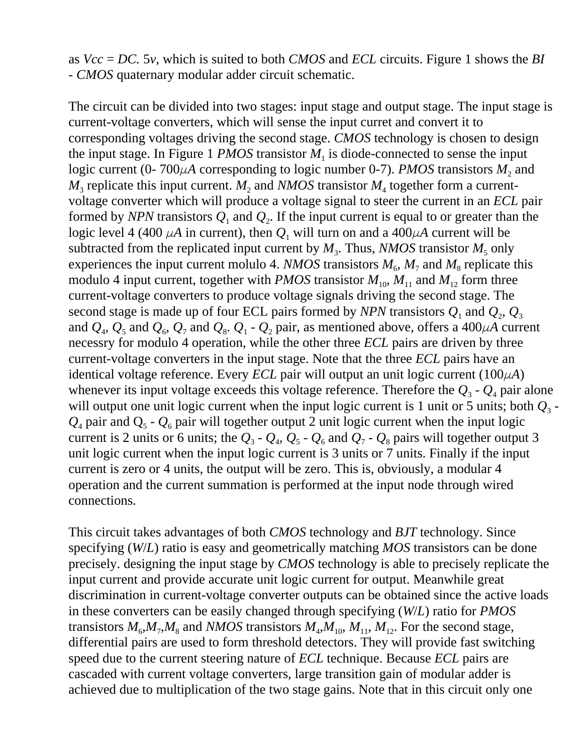as *Vcc* = *DC.* 5*v*, which is suited to both *CMOS* and *ECL* circuits. Figure 1 shows the *BI - CMOS* quaternary modular adder circuit schematic.

The circuit can be divided into two stages: input stage and output stage. The input stage is current-voltage converters, which will sense the input curret and convert it to corresponding voltages driving the second stage. *CMOS* technology is chosen to design the input stage. In Figure 1 *PMOS* transistor  $M<sub>1</sub>$  is diode-connected to sense the input logic current (0- 700 $\mu$ A corresponding to logic number 0-7). *PMOS* transistors  $M_2$  and  $M_3$  replicate this input current.  $M_2$  and *NMOS* transistor  $M_4$  together form a currentvoltage converter which will produce a voltage signal to steer the current in an *ECL* pair formed by *NPN* transistors  $Q_1$  and  $Q_2$ . If the input current is equal to or greater than the logic level 4 (400  $\mu$ A in current), then  $Q_1$  will turn on and a 400 $\mu$ A current will be subtracted from the replicated input current by  $M_3$ . Thus, *NMOS* transistor  $M_5$  only experiences the input current molulo 4. *NMOS* transistors  $M_6$ ,  $M_7$  and  $M_8$  replicate this modulo 4 input current, together with *PMOS* transistor  $M_{10}$ ,  $M_{11}$  and  $M_{12}$  form three current-voltage converters to produce voltage signals driving the second stage. The second stage is made up of four ECL pairs formed by *NPN* transistors  $Q_1$  and  $Q_2$ ,  $Q_3$ and  $Q_4$ ,  $Q_5$  and  $Q_6$ ,  $Q_7$  and  $Q_8$ .  $Q_1$  -  $Q_2$  pair, as mentioned above, offers a 400 $\mu$ A current necessry for modulo 4 operation, while the other three *ECL* pairs are driven by three current-voltage converters in the input stage. Note that the three *ECL* pairs have an identical voltage reference. Every *ECL* pair will output an unit logic current  $(100\mu A)$ whenever its input voltage exceeds this voltage reference. Therefore the  $Q_3$  -  $Q_4$  pair alone will output one unit logic current when the input logic current is 1 unit or 5 units; both  $Q_3$  - $Q_4$  pair and  $Q_5$  -  $Q_6$  pair will together output 2 unit logic current when the input logic current is 2 units or 6 units; the  $Q_3$  -  $Q_4$ ,  $Q_5$  -  $Q_6$  and  $Q_7$  -  $Q_8$  pairs will together output 3 unit logic current when the input logic current is 3 units or 7 units. Finally if the input current is zero or 4 units, the output will be zero. This is, obviously, a modular 4 operation and the current summation is performed at the input node through wired connections.

This circuit takes advantages of both *CMOS* technology and *BJT* technology. Since specifying (*W*/*L*) ratio is easy and geometrically matching *MOS* transistors can be done precisely. designing the input stage by *CMOS* technology is able to precisely replicate the input current and provide accurate unit logic current for output. Meanwhile great discrimination in current-voltage converter outputs can be obtained since the active loads in these converters can be easily changed through specifying (*W*/*L*) ratio for *PMOS* transistors  $M_6$ , $M_7$ , $M_8$  and *NMOS* transistors  $M_4$ , $M_{10}$ ,  $M_{11}$ ,  $M_{12}$ . For the second stage, differential pairs are used to form threshold detectors. They will provide fast switching speed due to the current steering nature of *ECL* technique. Because *ECL* pairs are cascaded with current voltage converters, large transition gain of modular adder is achieved due to multiplication of the two stage gains. Note that in this circuit only one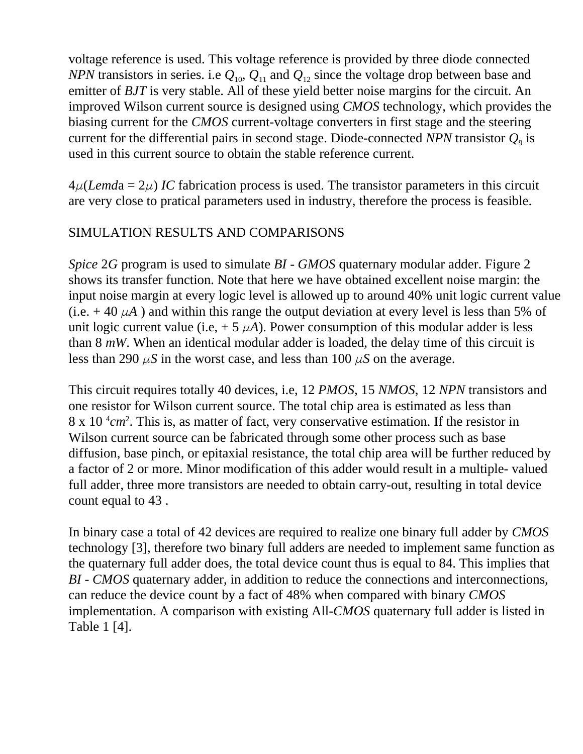voltage reference is used. This voltage reference is provided by three diode connected *NPN* transistors in series. i.e  $Q_{10}$ ,  $Q_{11}$  and  $Q_{12}$  since the voltage drop between base and emitter of *BJT* is very stable. All of these yield better noise margins for the circuit. An improved Wilson current source is designed using *CMOS* technology, which provides the biasing current for the *CMOS* current-voltage converters in first stage and the steering current for the differential pairs in second stage. Diode-connected *NPN* transistor  $Q<sub>9</sub>$  is used in this current source to obtain the stable reference current.

 $4\mu$ (*Lemda* =  $2\mu$ ) *IC* fabrication process is used. The transistor parameters in this circuit are very close to pratical parameters used in industry, therefore the process is feasible.

## SIMULATION RESULTS AND COMPARISONS

*Spice* 2*G* program is used to simulate *BI* - *GMOS* quaternary modular adder. Figure 2 shows its transfer function. Note that here we have obtained excellent noise margin: the input noise margin at every logic level is allowed up to around 40% unit logic current value (i.e.  $+$  40  $\mu$ A) and within this range the output deviation at every level is less than 5% of unit logic current value (i.e,  $+ 5 \mu A$ ). Power consumption of this modular adder is less than 8 *mW*. When an identical modular adder is loaded, the delay time of this circuit is less than 290  $\mu$ S in the worst case, and less than 100  $\mu$ S on the average.

This circuit requires totally 40 devices, i.e, 12 *PMOS*, 15 *NMOS*, 12 *NPN* transistors and one resistor for Wilson current source. The total chip area is estimated as less than  $8 \times 10^{-4}$  cm<sup>2</sup>. This is, as matter of fact, very conservative estimation. If the resistor in Wilson current source can be fabricated through some other process such as base diffusion, base pinch, or epitaxial resistance, the total chip area will be further reduced by a factor of 2 or more. Minor modification of this adder would result in a multiple- valued full adder, three more transistors are needed to obtain carry-out, resulting in total device count equal to 43 .

In binary case a total of 42 devices are required to realize one binary full adder by *CMOS* technology [3], therefore two binary full adders are needed to implement same function as the quaternary full adder does, the total device count thus is equal to 84. This implies that *BI* - *CMOS* quaternary adder, in addition to reduce the connections and interconnections, can reduce the device count by a fact of 48% when compared with binary *CMOS* implementation. A comparison with existing All-*CMOS* quaternary full adder is listed in Table 1 [4].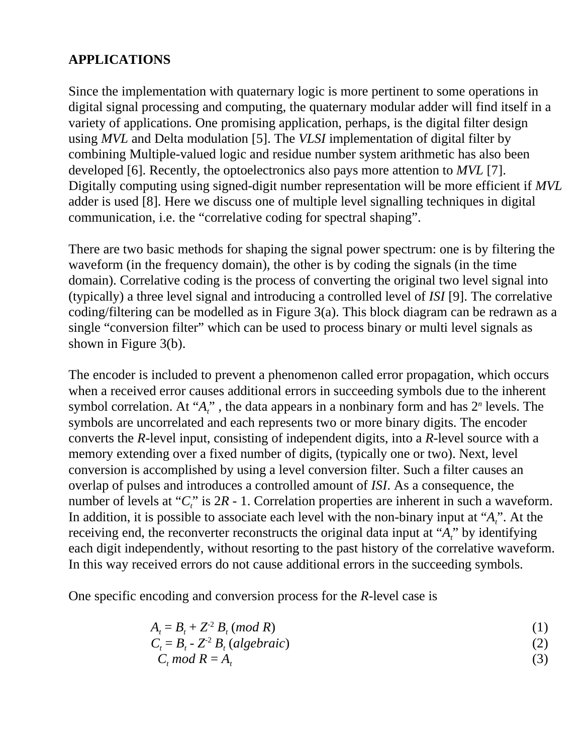# **APPLICATIONS**

Since the implementation with quaternary logic is more pertinent to some operations in digital signal processing and computing, the quaternary modular adder will find itself in a variety of applications. One promising application, perhaps, is the digital filter design using *MVL* and Delta modulation [5]. The *VLSI* implementation of digital filter by combining Multiple-valued logic and residue number system arithmetic has also been developed [6]. Recently, the optoelectronics also pays more attention to *MVL* [7]. Digitally computing using signed-digit number representation will be more efficient if *MVL* adder is used [8]. Here we discuss one of multiple level signalling techniques in digital communication, i.e. the "correlative coding for spectral shaping".

There are two basic methods for shaping the signal power spectrum: one is by filtering the waveform (in the frequency domain), the other is by coding the signals (in the time domain). Correlative coding is the process of converting the original two level signal into (typically) a three level signal and introducing a controlled level of *ISI* [9]. The correlative coding/filtering can be modelled as in Figure 3(a). This block diagram can be redrawn as a single "conversion filter" which can be used to process binary or multi level signals as shown in Figure 3(b).

The encoder is included to prevent a phenomenon called error propagation, which occurs when a received error causes additional errors in succeeding symbols due to the inherent symbol correlation. At " $A_t$ ", the data appears in a nonbinary form and has  $2^n$  levels. The symbols are uncorrelated and each represents two or more binary digits. The encoder converts the *R*-level input, consisting of independent digits, into a *R*-level source with a memory extending over a fixed number of digits, (typically one or two). Next, level conversion is accomplished by using a level conversion filter. Such a filter causes an overlap of pulses and introduces a controlled amount of *ISI*. As a consequence, the number of levels at "*C*," is 2*R* - 1. Correlation properties are inherent in such a waveform. In addition, it is possible to associate each level with the non-binary input at "*At*". At the receiving end, the reconverter reconstructs the original data input at "*At*" by identifying each digit independently, without resorting to the past history of the correlative waveform. In this way received errors do not cause additional errors in the succeeding symbols.

One specific encoding and conversion process for the *R*-level case is

$$
A_t = B_t + Z^2 B_t \pmod{R} \tag{1}
$$

$$
C_t = B_t - Z^2 B_t (algebraic)
$$
 (2)

$$
C_t \mod R = A_t \tag{3}
$$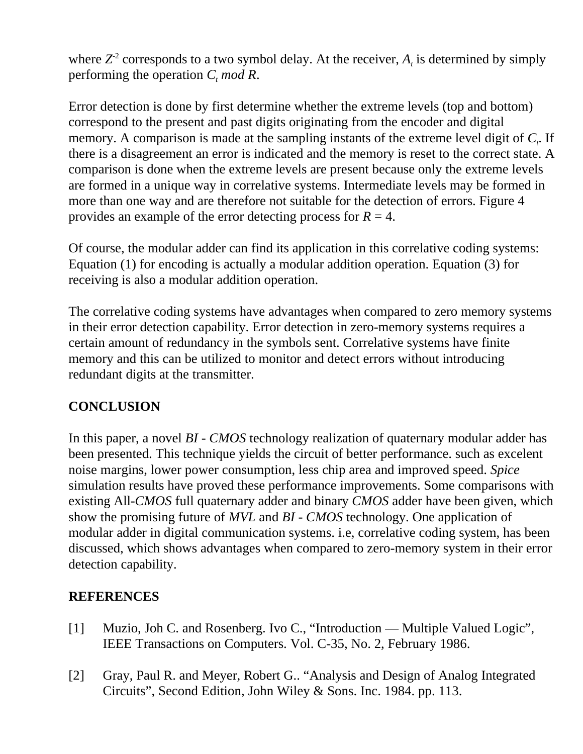where  $Z^2$  corresponds to a two symbol delay. At the receiver,  $A_t$  is determined by simply performing the operation  $C_t$  mod R.

Error detection is done by first determine whether the extreme levels (top and bottom) correspond to the present and past digits originating from the encoder and digital memory. A comparison is made at the sampling instants of the extreme level digit of *C*. If there is a disagreement an error is indicated and the memory is reset to the correct state. A comparison is done when the extreme levels are present because only the extreme levels are formed in a unique way in correlative systems. Intermediate levels may be formed in more than one way and are therefore not suitable for the detection of errors. Figure 4 provides an example of the error detecting process for  $R = 4$ .

Of course, the modular adder can find its application in this correlative coding systems: Equation (1) for encoding is actually a modular addition operation. Equation (3) for receiving is also a modular addition operation.

The correlative coding systems have advantages when compared to zero memory systems in their error detection capability. Error detection in zero-memory systems requires a certain amount of redundancy in the symbols sent. Correlative systems have finite memory and this can be utilized to monitor and detect errors without introducing redundant digits at the transmitter.

# **CONCLUSION**

In this paper, a novel *BI* - *CMOS* technology realization of quaternary modular adder has been presented. This technique yields the circuit of better performance. such as excelent noise margins, lower power consumption, less chip area and improved speed. *Spice* simulation results have proved these performance improvements. Some comparisons with existing All-*CMOS* full quaternary adder and binary *CMOS* adder have been given, which show the promising future of *MVL* and *BI* - *CMOS* technology. One application of modular adder in digital communication systems. i.e, correlative coding system, has been discussed, which shows advantages when compared to zero-memory system in their error detection capability.

### **REFERENCES**

- [1] Muzio, Joh C. and Rosenberg. Ivo C., "Introduction Multiple Valued Logic", IEEE Transactions on Computers. Vol. C-35, No. 2, February 1986.
- [2] Gray, Paul R. and Meyer, Robert G.. "Analysis and Design of Analog Integrated Circuits", Second Edition, John Wiley & Sons. Inc. 1984. pp. 113.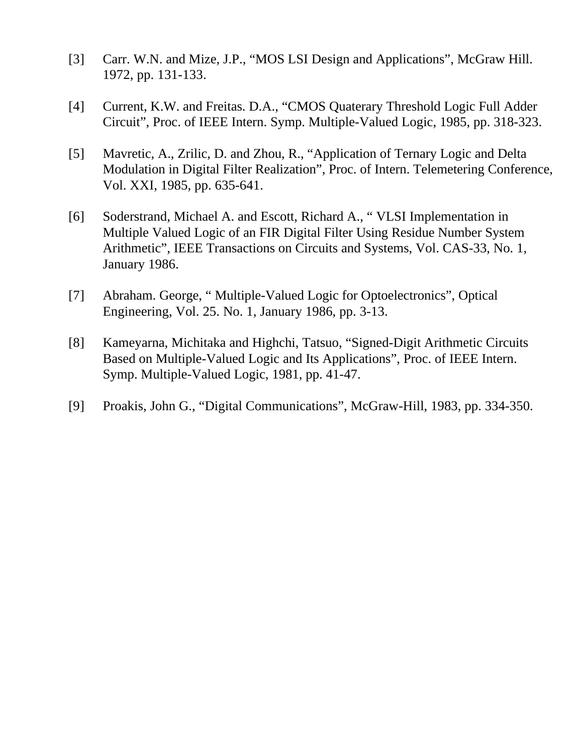- [3] Carr. W.N. and Mize, J.P., "MOS LSI Design and Applications", McGraw Hill. 1972, pp. 131-133.
- [4] Current, K.W. and Freitas. D.A., "CMOS Quaterary Threshold Logic Full Adder Circuit", Proc. of IEEE Intern. Symp. Multiple-Valued Logic, 1985, pp. 318-323.
- [5] Mavretic, A., Zrilic, D. and Zhou, R., "Application of Ternary Logic and Delta Modulation in Digital Filter Realization", Proc. of Intern. Telemetering Conference, Vol. XXI, 1985, pp. 635-641.
- [6] Soderstrand, Michael A. and Escott, Richard A., " VLSI Implementation in Multiple Valued Logic of an FIR Digital Filter Using Residue Number System Arithmetic", IEEE Transactions on Circuits and Systems, Vol. CAS-33, No. 1, January 1986.
- [7] Abraham. George, " Multiple-Valued Logic for Optoelectronics", Optical Engineering, Vol. 25. No. 1, January 1986, pp. 3-13.
- [8] Kameyarna, Michitaka and Highchi, Tatsuo, "Signed-Digit Arithmetic Circuits Based on Multiple-Valued Logic and Its Applications", Proc. of IEEE Intern. Symp. Multiple-Valued Logic, 1981, pp. 41-47.
- [9] Proakis, John G., "Digital Communications", McGraw-Hill, 1983, pp. 334-350.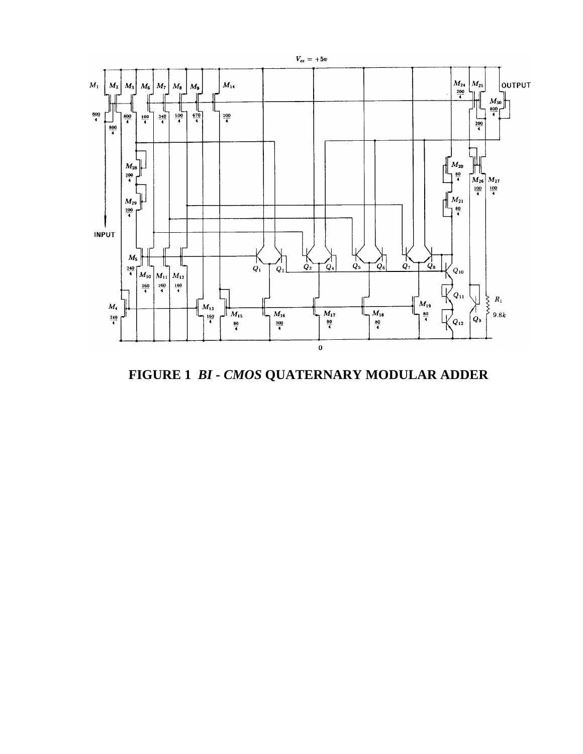

**FIGURE 1** *BI* **-** *CMOS* **QUATERNARY MODULAR ADDER**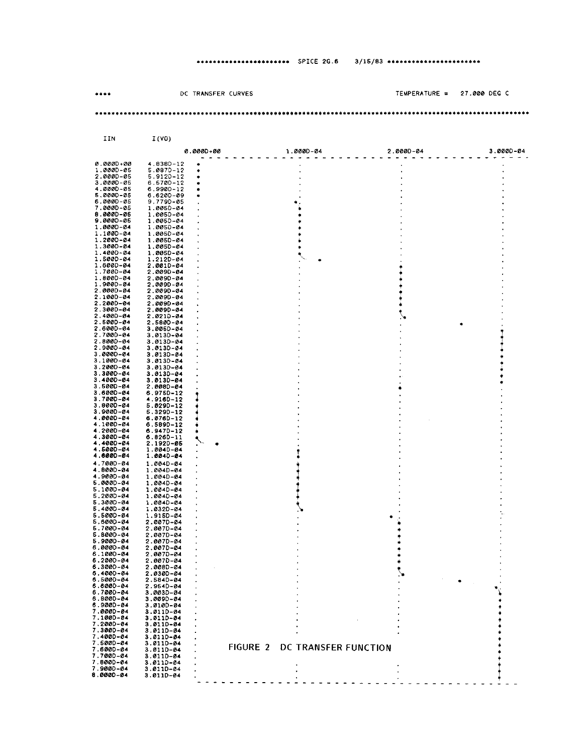#### \*\*\*\*\*\*\*\*\*\*\*\*\*\*\*\*\*\*\*\*\*\*\*\* SPICE 2G.6 3/15/83 \*\*\*\*\*\*\*\*\*\*\*\*\*\*\*\*\*\*\*\*\*\*\*

|                            | DC TRANSFER CURVES                            |                      | TEMPERATURE = | 27.000 DEG C |
|----------------------------|-----------------------------------------------|----------------------|---------------|--------------|
|                            |                                               |                      |               |              |
|                            |                                               |                      |               |              |
|                            |                                               |                      |               |              |
| IIN                        | I(V0)                                         |                      |               |              |
|                            | 0.000D+00                                     | 1.000D-04            | $2.0000 - 04$ | 3.0000-04    |
| 0.0000+00                  | 4.8380-12                                     |                      |               |              |
| 1.000D-05<br>2.0000-05     | 5.0870-12<br>5.9120-12                        |                      |               |              |
| 3.0000-05<br>4.000D-05     | 6.5700-12                                     |                      |               |              |
| 5.000D-05                  | 6.9900-12<br>6.6200-09                        |                      |               |              |
| 6.000D-05                  | 9.7790-05                                     |                      |               |              |
| 7.000D-05<br>8.000D-05     | 1.0050-04<br>1.0050-04                        |                      |               |              |
| 9.0000-05<br>1.0000-04     | 1.0050-04                                     |                      |               |              |
| 1.1000-04                  | 1.0050-04<br>1.0050-04                        |                      |               |              |
| 1.2000-04<br>1.300D-04     | 1.0050-04                                     |                      |               |              |
| 1.400D-04                  | 1.0050-04<br>1.005D-04                        |                      |               |              |
| 1.500D-04                  | 1.212D-04                                     |                      |               |              |
| 1.600D-04<br>1.7000-04     | 2.001D-04<br>2.0090-04                        |                      |               |              |
| 1.8000-04<br>1.900D-04     | 2.0090-04<br>2.009D-04                        |                      |               |              |
| 2.000D-04                  | 2.0090-04                                     |                      |               |              |
| 2.100D-04<br>2.200D-04     | 2.009D-04<br>2.009D-04                        |                      |               |              |
| 2.300D-04                  | 2.009D-04                                     |                      |               |              |
| 2.4000-04<br>2.5000-04     | $2.0210 - 04$<br>2.580D-04                    |                      |               |              |
| 2.600D-04                  | $3.005D - 04$                                 |                      |               |              |
| $2.7000 - 04$<br>2.800D-04 | $3.0130 - 04$<br>$3.013D - 04$                |                      |               |              |
| 2.9000-04                  | $3.0130 - 04$                                 |                      |               |              |
| 3.000D-04<br>3.1000-04     | $3.013D - 04$                                 |                      |               |              |
| $3.2000 - 04$              | 3.0130-04<br>$3.013D - 04$                    |                      |               |              |
| 3.300D-04<br>3.4000-04     | $3.0130 - 04$                                 |                      |               |              |
| $3.5000 - 04$              | $3.0130 - 04$<br>2.008D-04                    |                      |               |              |
| 3.6000-04<br>$3.7000 - 04$ | 6.9750-12<br>4.9160-12                        |                      |               |              |
| 3.800D-04                  | $5.029D - 12$                                 |                      |               |              |
| $3.9000 - 04$<br>4.000D-04 | $5.329D - 12$<br>6.076D-12                    |                      |               |              |
| 4.100D-04                  | 6.589D-12                                     |                      |               |              |
| 4.200D-04<br>4.300D-04     | 6.9470-12<br>6.8260-11                        |                      |               |              |
| 4.400D-04                  | 2.192D-Ø5                                     |                      |               |              |
| 4.500D-04<br>4.800D-04     | 1.004D-04<br>1.004D-04                        |                      |               |              |
| 4.700D-04                  | 1.004D-04                                     |                      |               |              |
| 4.800D-04<br>4.900D-04     | 1.004D-04<br>1.004D-04                        |                      |               |              |
| 5.000D-04                  | 1.004D-04                                     |                      |               |              |
| 5.1000-04<br>5,2000-04     | $1.0040 - 04$<br>1.004D-04                    |                      |               |              |
| 5.3000-04                  | 1.004D-04                                     |                      |               |              |
| 5.400D-04<br>5.500D-04     | 1.032D-04<br>1.9150-04                        |                      |               |              |
| 5.600D-04                  | 2.0070-04                                     |                      |               |              |
| 5.700D-04<br>5.800D-04     | 2.007D-04<br>2.007D-04                        |                      |               |              |
| 5.900D-04                  | 2.007D-04                                     |                      |               |              |
| 6.0000-04<br>6.1000-04     | 2.0070-04<br>2.0070-04                        |                      |               |              |
| 6.2000-04                  | 2.0070-04                                     |                      |               |              |
| 6.300D-04<br>6.400D-04     | 2.0080-04                                     |                      |               |              |
| 6.500D-04                  | 2.030D-04<br>$2.584D - 04$                    |                      |               |              |
| 6.6000-04<br>6.700D-04     | $2.954D - 04$<br>3.003D-04                    |                      |               |              |
| 8.8000-04                  | 3.0090-04                                     |                      |               |              |
| 8.900D-04<br>7.000D-04     | $3.0100 - 04$<br>$3.0110 - 04$                |                      |               |              |
| 7.100D-04                  | 3.011D-04                                     |                      |               |              |
| 7.200D-04<br>7.300D-04     | 3.0110-04<br>3.0110-04                        |                      |               |              |
| 7.4000-04                  | 3.011D-04                                     |                      |               |              |
| 7.5000-04<br>7.6000-04     | $3.011D - 04$<br><b>FIGURE 2</b><br>3.0110-04 | DC TRANSFER FUNCTION |               |              |
| 7.7000-04                  | 3.0110-04                                     |                      |               |              |
| 7.800D-04<br>7.900D-04     | 3.0110-04<br>3.0110-04                        |                      |               |              |
| 8.000D-04                  | 3.0110-04                                     |                      |               |              |
|                            |                                               |                      |               |              |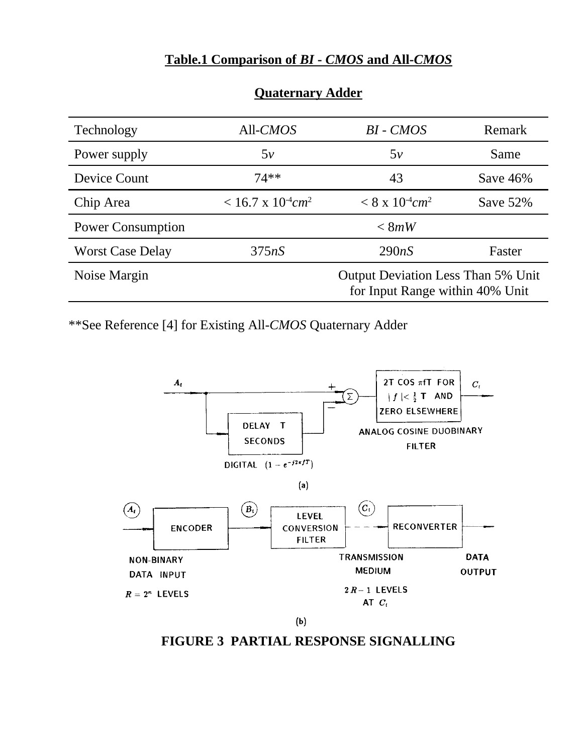### **Table.1 Comparison of** *BI* **-** *CMOS* **and All-***CMOS*

| Technology               | All-CMOS                                | $BI$ - $CMOS$                                                                | Remark      |
|--------------------------|-----------------------------------------|------------------------------------------------------------------------------|-------------|
| Power supply             | 5v                                      | 5v                                                                           | Same        |
| Device Count             | $74**$                                  | 43                                                                           | Save $46%$  |
| Chip Area                | $< 16.7 \times 10^{-4}$ cm <sup>2</sup> | $< 8 \times 10^{-4}$ cm <sup>2</sup>                                         | Save $52\%$ |
| <b>Power Consumption</b> |                                         | < 8mW                                                                        |             |
| <b>Worst Case Delay</b>  | 375nS                                   | 290nS                                                                        | Faster      |
| Noise Margin             |                                         | <b>Output Deviation Less Than 5% Unit</b><br>for Input Range within 40% Unit |             |

#### **Quaternary Adder**

\*\*See Reference [4] for Existing All-*CMOS* Quaternary Adder



 $(b)$ 

# **FIGURE 3 PARTIAL RESPONSE SIGNALLING**